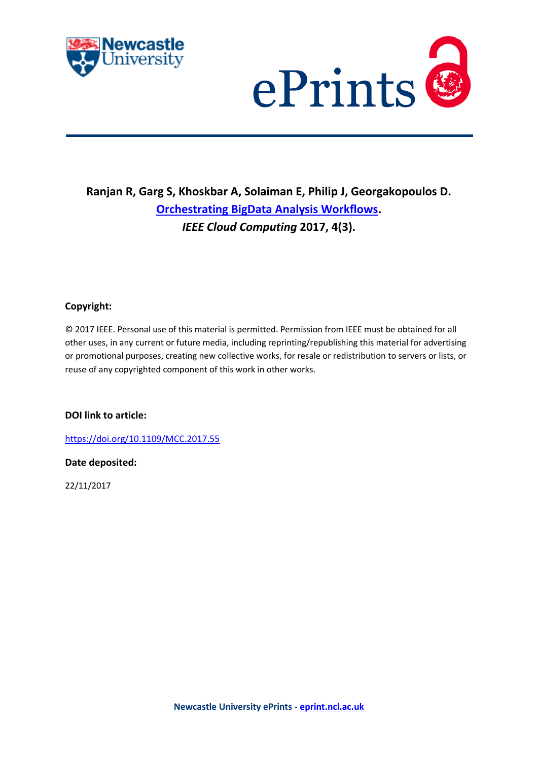



# **Ranjan R, Garg S, Khoskbar A, Solaiman E, Philip J, Georgakopoulos D. [Orchestrating BigData Analysis Workflows.](https://myimpact.ncl.ac.uk/ViewPublication.aspx?id=239391)**  *IEEE Cloud Computing* **2017, 4(3).**

## **Copyright:**

© 2017 IEEE. Personal use of this material is permitted. Permission from IEEE must be obtained for all other uses, in any current or future media, including reprinting/republishing this material for advertising or promotional purposes, creating new collective works, for resale or redistribution to servers or lists, or reuse of any copyrighted component of this work in other works.

**DOI link to article:**

<https://doi.org/10.1109/MCC.2017.55>

## **Date deposited:**

22/11/2017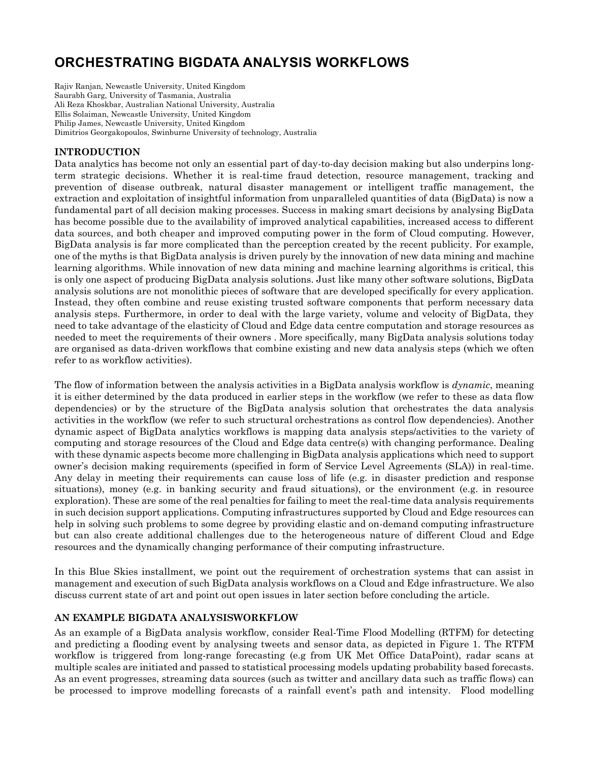# **ORCHESTRATING BIGDATA ANALYSIS WORKFLOWS**

Rajiv Ranjan, Newcastle University, United Kingdom Saurabh Garg, University of Tasmania, Australia Ali Reza Khoskbar, Australian National University, Australia Ellis Solaiman, Newcastle University, United Kingdom Philip James, Newcastle University, United Kingdom Dimitrios Georgakopoulos, Swinburne University of technology, Australia

### **INTRODUCTION**

Data analytics has become not only an essential part of day-to-day decision making but also underpins longterm strategic decisions. Whether it is real-time fraud detection, resource management, tracking and prevention of disease outbreak, natural disaster management or intelligent traffic management, the extraction and exploitation of insightful information from unparalleled quantities of data (BigData) is now a fundamental part of all decision making processes. Success in making smart decisions by analysing BigData has become possible due to the availability of improved analytical capabilities, increased access to different data sources, and both cheaper and improved computing power in the form of Cloud computing. However, BigData analysis is far more complicated than the perception created by the recent publicity. For example, one of the myths is that BigData analysis is driven purely by the innovation of new data mining and machine learning algorithms. While innovation of new data mining and machine learning algorithms is critical, this is only one aspect of producing BigData analysis solutions. Just like many other software solutions, BigData analysis solutions are not monolithic pieces of software that are developed specifically for every application. Instead, they often combine and reuse existing trusted software components that perform necessary data analysis steps. Furthermore, in order to deal with the large variety, volume and velocity of BigData, they need to take advantage of the elasticity of Cloud and Edge data centre computation and storage resources as needed to meet the requirements of their owners . More specifically, many BigData analysis solutions today are organised as data-driven workflows that combine existing and new data analysis steps (which we often refer to as workflow activities).

The flow of information between the analysis activities in a BigData analysis workflow is *dynamic*, meaning it is either determined by the data produced in earlier steps in the workflow (we refer to these as data flow dependencies) or by the structure of the BigData analysis solution that orchestrates the data analysis activities in the workflow (we refer to such structural orchestrations as control flow dependencies). Another dynamic aspect of BigData analytics workflows is mapping data analysis steps/activities to the variety of computing and storage resources of the Cloud and Edge data centre(s) with changing performance. Dealing with these dynamic aspects become more challenging in BigData analysis applications which need to support owner's decision making requirements (specified in form of Service Level Agreements (SLA)) in real-time. Any delay in meeting their requirements can cause loss of life (e.g. in disaster prediction and response situations), money (e.g. in banking security and fraud situations), or the environment (e.g. in resource exploration). These are some of the real penalties for failing to meet the real-time data analysis requirements in such decision support applications. Computing infrastructures supported by Cloud and Edge resources can help in solving such problems to some degree by providing elastic and on-demand computing infrastructure but can also create additional challenges due to the heterogeneous nature of different Cloud and Edge resources and the dynamically changing performance of their computing infrastructure.

In this Blue Skies installment, we point out the requirement of orchestration systems that can assist in management and execution of such BigData analysis workflows on a Cloud and Edge infrastructure. We also discuss current state of art and point out open issues in later section before concluding the article.

### **AN EXAMPLE BIGDATA ANALYSISWORKFLOW**

As an example of a BigData analysis workflow, consider Real-Time Flood Modelling (RTFM) for detecting and predicting a flooding event by analysing tweets and sensor data, as depicted in Figure 1. The RTFM workflow is triggered from long-range forecasting (e.g from UK Met Office DataPoint), radar scans at multiple scales are initiated and passed to statistical processing models updating probability based forecasts. As an event progresses, streaming data sources (such as twitter and ancillary data such as traffic flows) can be processed to improve modelling forecasts of a rainfall event's path and intensity. Flood modelling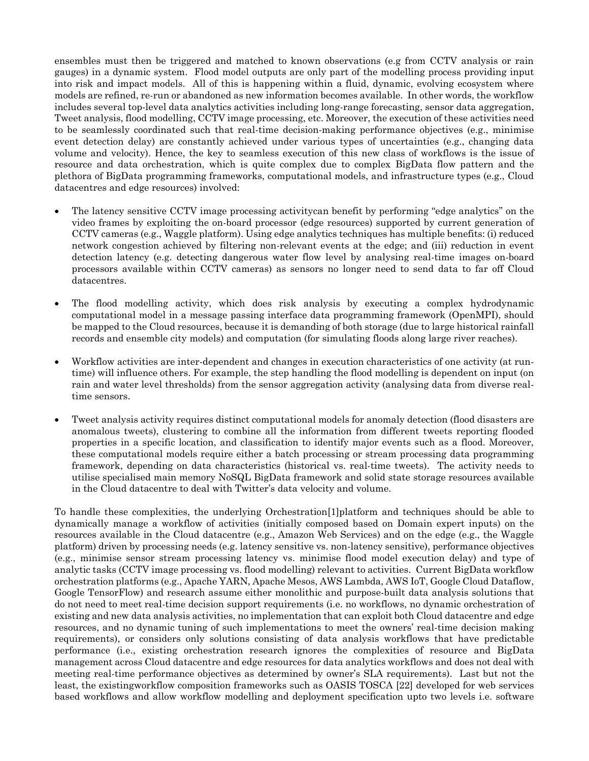ensembles must then be triggered and matched to known observations (e.g from CCTV analysis or rain gauges) in a dynamic system. Flood model outputs are only part of the modelling process providing input into risk and impact models. All of this is happening within a fluid, dynamic, evolving ecosystem where models are refined, re-run or abandoned as new information becomes available. In other words, the workflow includes several top-level data analytics activities including long-range forecasting, sensor data aggregation, Tweet analysis, flood modelling, CCTV image processing, etc. Moreover, the execution of these activities need to be seamlessly coordinated such that real-time decision-making performance objectives (e.g., minimise event detection delay) are constantly achieved under various types of uncertainties (e.g., changing data volume and velocity). Hence, the key to seamless execution of this new class of workflows is the issue of resource and data orchestration, which is quite complex due to complex BigData flow pattern and the plethora of BigData programming frameworks, computational models, and infrastructure types (e.g., Cloud datacentres and edge resources) involved:

- The latency sensitive CCTV image processing activitycan benefit by performing "edge analytics" on the video frames by exploiting the on-board processor (edge resources) supported by current generation of CCTV cameras (e.g., Waggle platform). Using edge analytics techniques has multiple benefits: (i) reduced network congestion achieved by filtering non-relevant events at the edge; and (iii) reduction in event detection latency (e.g. detecting dangerous water flow level by analysing real-time images on-board processors available within CCTV cameras) as sensors no longer need to send data to far off Cloud datacentres.
- The flood modelling activity, which does risk analysis by executing a complex hydrodynamic computational model in a message passing interface data programming framework (OpenMPI), should be mapped to the Cloud resources, because it is demanding of both storage (due to large historical rainfall records and ensemble city models) and computation (for simulating floods along large river reaches).
- Workflow activities are inter-dependent and changes in execution characteristics of one activity (at runtime) will influence others. For example, the step handling the flood modelling is dependent on input (on rain and water level thresholds) from the sensor aggregation activity (analysing data from diverse realtime sensors.
- Tweet analysis activity requires distinct computational models for anomaly detection (flood disasters are anomalous tweets), clustering to combine all the information from different tweets reporting flooded properties in a specific location, and classification to identify major events such as a flood. Moreover, these computational models require either a batch processing or stream processing data programming framework, depending on data characteristics (historical vs. real-time tweets). The activity needs to utilise specialised main memory NoSQL BigData framework and solid state storage resources available in the Cloud datacentre to deal with Twitter's data velocity and volume.

To handle these complexities, the underlying Orchestratio[n\[1\]p](#page-7-0)latform and techniques should be able to dynamically manage a workflow of activities (initially composed based on Domain expert inputs) on the resources available in the Cloud datacentre (e.g., Amazon Web Services) and on the edge (e.g., the Waggle platform) driven by processing needs (e.g. latency sensitive vs. non-latency sensitive), performance objectives (e.g., minimise sensor stream processing latency vs. minimise flood model execution delay) and type of analytic tasks (CCTV image processing vs. flood modelling) relevant to activities. Current BigData workflow orchestration platforms (e.g., Apache YARN, Apache Mesos, AWS Lambda, AWS IoT, Google Cloud Dataflow, Google TensorFlow) and research assume either monolithic and purpose-built data analysis solutions that do not need to meet real-time decision support requirements (i.e. no workflows, no dynamic orchestration of existing and new data analysis activities, no implementation that can exploit both Cloud datacentre and edge resources, and no dynamic tuning of such implementations to meet the owners' real-time decision making requirements), or considers only solutions consisting of data analysis workflows that have predictable performance (i.e., existing orchestration research ignores the complexities of resource and BigData management across Cloud datacentre and edge resources for data analytics workflows and does not deal with meeting real-time performance objectives as determined by owner's SLA requirements). Last but not the least, the existingworkflow composition frameworks such as OASIS TOSCA [\[22\]](#page-7-1) developed for web services based workflows and allow workflow modelling and deployment specification upto two levels i.e. software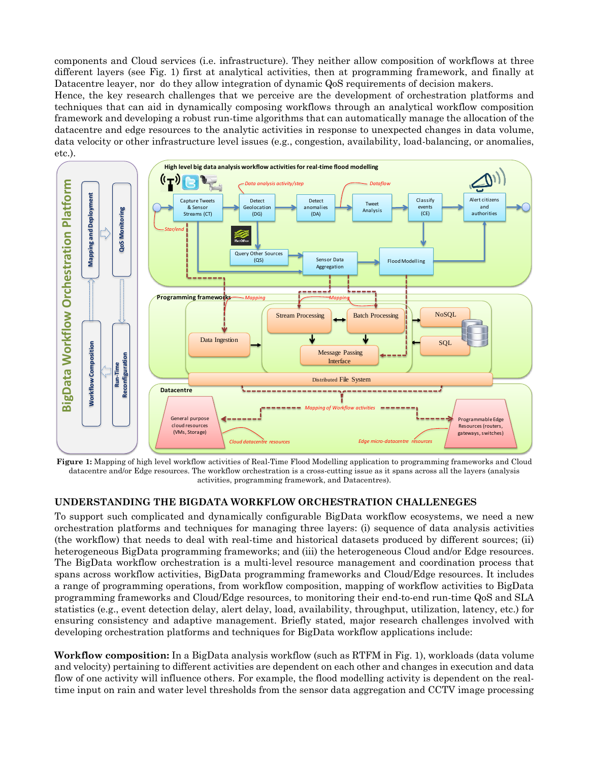components and Cloud services (i.e. infrastructure). They neither allow composition of workflows at three different layers (see Fig. 1) first at analytical activities, then at programming framework, and finally at Datacentre leayer, nor do they allow integration of dynamic QoS requirements of decision makers.

Hence, the key research challenges that we perceive are the development of orchestration platforms and techniques that can aid in dynamically composing workflows through an analytical workflow composition framework and developing a robust run-time algorithms that can automatically manage the allocation of the datacentre and edge resources to the analytic activities in response to unexpected changes in data volume, data velocity or other infrastructure level issues (e.g., congestion, availability, load-balancing, or anomalies, etc.).



**Figure 1:** Mapping of high level workflow activities of Real-Time Flood Modelling application to programming frameworks and Cloud datacentre and/or Edge resources. The workflow orchestration is a cross-cutting issue as it spans across all the layers (analysis activities, programming framework, and Datacentres).

### **UNDERSTANDING THE BIGDATA WORKFLOW ORCHESTRATION CHALLENEGES**

To support such complicated and dynamically configurable BigData workflow ecosystems, we need a new orchestration platforms and techniques for managing three layers: (i) sequence of data analysis activities (the workflow) that needs to deal with real-time and historical datasets produced by different sources; (ii) heterogeneous BigData programming frameworks; and (iii) the heterogeneous Cloud and/or Edge resources. The BigData workflow orchestration is a multi-level resource management and coordination process that spans across workflow activities, BigData programming frameworks and Cloud/Edge resources. It includes a range of programming operations, from workflow composition, mapping of workflow activities to BigData programming frameworks and Cloud/Edge resources, to monitoring their end-to-end run-time QoS and SLA statistics (e.g., event detection delay, alert delay, load, availability, throughput, utilization, latency, etc.) for ensuring consistency and adaptive management. Briefly stated, major research challenges involved with developing orchestration platforms and techniques for BigData workflow applications include:

**Workflow composition:** In a BigData analysis workflow (such as RTFM in Fig. 1), workloads (data volume and velocity) pertaining to different activities are dependent on each other and changes in execution and data flow of one activity will influence others. For example, the flood modelling activity is dependent on the realtime input on rain and water level thresholds from the sensor data aggregation and CCTV image processing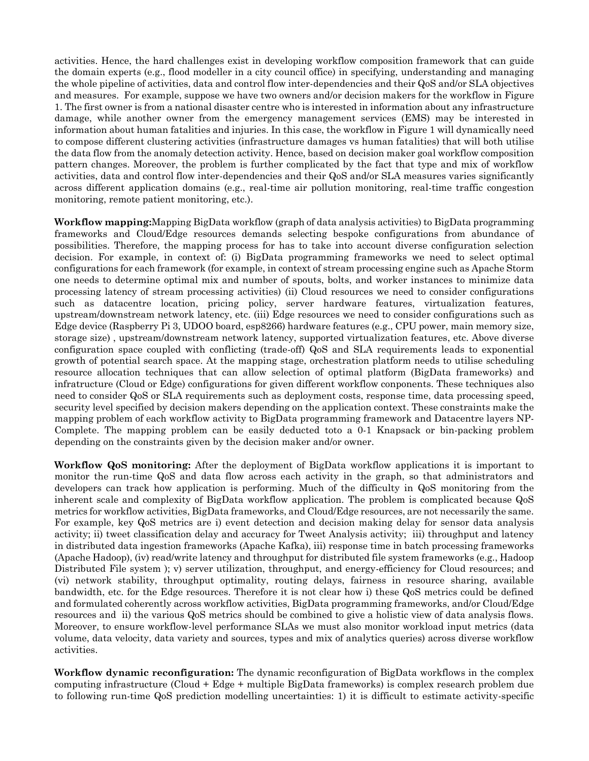activities. Hence, the hard challenges exist in developing workflow composition framework that can guide the domain experts (e.g., flood modeller in a city council office) in specifying, understanding and managing the whole pipeline of activities, data and control flow inter-dependencies and their QoS and/or SLA objectives and measures. For example, suppose we have two owners and/or decision makers for the workflow in Figure 1. The first owner is from a national disaster centre who is interested in information about any infrastructure damage, while another owner from the emergency management services (EMS) may be interested in information about human fatalities and injuries. In this case, the workflow in Figure 1 will dynamically need to compose different clustering activities (infrastructure damages vs human fatalities) that will both utilise the data flow from the anomaly detection activity. Hence, based on decision maker goal workflow composition pattern changes. Moreover, the problem is further complicated by the fact that type and mix of workflow activities, data and control flow inter-dependencies and their QoS and/or SLA measures varies significantly across different application domains (e.g., real-time air pollution monitoring, real-time traffic congestion monitoring, remote patient monitoring, etc.).

**Workflow mapping:**Mapping BigData workflow (graph of data analysis activities) to BigData programming frameworks and Cloud/Edge resources demands selecting bespoke configurations from abundance of possibilities. Therefore, the mapping process for has to take into account diverse configuration selection decision. For example, in context of: (i) BigData programming frameworks we need to select optimal configurations for each framework (for example, in context of stream processing engine such as Apache Storm one needs to determine optimal mix and number of spouts, bolts, and worker instances to minimize data processing latency of stream processing activities) (ii) Cloud resources we need to consider configurations such as datacentre location, pricing policy, server hardware features, virtualization features, upstream/downstream network latency, etc. (iii) Edge resources we need to consider configurations such as Edge device (Raspberry Pi 3, UDOO board, esp8266) hardware features (e.g., CPU power, main memory size, storage size) , upstream/downstream network latency, supported virtualization features, etc. Above diverse configuration space coupled with conflicting (trade-off) QoS and SLA requirements leads to exponential growth of potential search space. At the mapping stage, orchestration platform needs to utilise scheduling resource allocation techniques that can allow selection of optimal platform (BigData frameworks) and infratructure (Cloud or Edge) configurations for given different workflow conponents. These techniques also need to consider QoS or SLA requirements such as deployment costs, response time, data processing speed, security level specified by decision makers depending on the application context. These constraints make the mapping problem of each workflow activity to BigData programming framework and Datacentre layers NP-Complete. The mapping problem can be easily deducted toto a 0-1 Knapsack or bin-packing problem depending on the constraints given by the decision maker and/or owner.

**Workflow QoS monitoring:** After the deployment of BigData workflow applications it is important to monitor the run-time QoS and data flow across each activity in the graph, so that administrators and developers can track how application is performing. Much of the difficulty in QoS monitoring from the inherent scale and complexity of BigData workflow application. The problem is complicated because QoS metrics for workflow activities, BigData frameworks, and Cloud/Edge resources, are not necessarily the same. For example, key QoS metrics are i) event detection and decision making delay for sensor data analysis activity; ii) tweet classification delay and accuracy for Tweet Analysis activity; iii) throughput and latency in distributed data ingestion frameworks (Apache Kafka), iii) response time in batch processing frameworks (Apache Hadoop), (iv) read/write latency and throughput for distributed file system frameworks (e.g., Hadoop Distributed File system ); v) server utilization, throughput, and energy-efficiency for Cloud resources; and (vi) network stability, throughput optimality, routing delays, fairness in resource sharing, available bandwidth, etc. for the Edge resources. Therefore it is not clear how i) these QoS metrics could be defined and formulated coherently across workflow activities, BigData programming frameworks, and/or Cloud/Edge resources and ii) the various QoS metrics should be combined to give a holistic view of data analysis flows. Moreover, to ensure workflow-level performance SLAs we must also monitor workload input metrics (data volume, data velocity, data variety and sources, types and mix of analytics queries) across diverse workflow activities.

**Workflow dynamic reconfiguration:** The dynamic reconfiguration of BigData workflows in the complex computing infrastructure (Cloud + Edge + multiple BigData frameworks) is complex research problem due to following run-time QoS prediction modelling uncertainties: 1) it is difficult to estimate activity-specific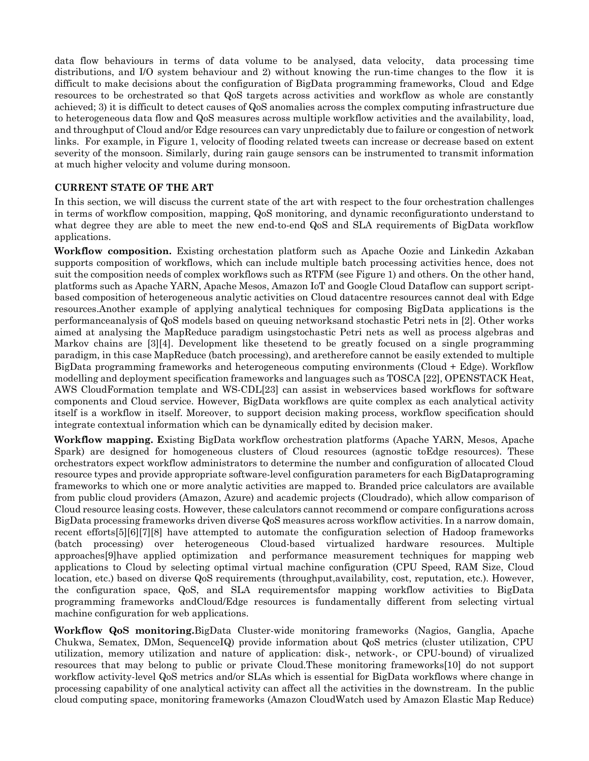data flow behaviours in terms of data volume to be analysed, data velocity, data processing time distributions, and I/O system behaviour and 2) without knowing the run-time changes to the flow it is difficult to make decisions about the configuration of BigData programming frameworks, Cloud and Edge resources to be orchestrated so that QoS targets across activities and workflow as whole are constantly achieved; 3) it is difficult to detect causes of QoS anomalies across the complex computing infrastructure due to heterogeneous data flow and QoS measures across multiple workflow activities and the availability, load, and throughput of Cloud and/or Edge resources can vary unpredictably due to failure or congestion of network links. For example, in Figure 1, velocity of flooding related tweets can increase or decrease based on extent severity of the monsoon. Similarly, during rain gauge sensors can be instrumented to transmit information at much higher velocity and volume during monsoon.

### **CURRENT STATE OF THE ART**

In this section, we will discuss the current state of the art with respect to the four orchestration challenges in terms of workflow composition, mapping, QoS monitoring, and dynamic reconfigurationto understand to what degree they are able to meet the new end-to-end QoS and SLA requirements of BigData workflow applications.

**Workflow composition.** Existing orchestation platform such as Apache Oozie and Linkedin Azkaban supports composition of workflows, which can include multiple batch processing activities hence, does not suit the composition needs of complex workflows such as RTFM (see Figure 1) and others. On the other hand, platforms such as Apache YARN, Apache Mesos, Amazon IoT and Google Cloud Dataflow can support scriptbased composition of heterogeneous analytic activities on Cloud datacentre resources cannot deal with Edge resources.Another example of applying analytical techniques for composing BigData applications is the performanceanalysis of QoS models based on queuing networksand stochastic Petri nets in [\[2\].](#page-7-2) Other works aimed at analysing the MapReduce paradigm usingstochastic Petri nets as well as process algebras and Markov chains are [\[3\]\[4\].](#page-7-3) Development like thesetend to be greatly focused on a single programming paradigm, in this case MapReduce (batch processing), and aretherefore cannot be easily extended to multiple BigData programming frameworks and heterogeneous computing environments (Cloud + Edge). Workflow modelling and deployment specification frameworks and languages such as TOSCA [\[22\],](#page-7-1) OPENSTACK Heat, AWS CloudFormation template and WS-CD[L\[23\]](#page-7-4) can assist in webservices based workflows for software components and Cloud service. However, BigData workflows are quite complex as each analytical activity itself is a workflow in itself. Moreover, to support decision making process, workflow specification should integrate contextual information which can be dynamically edited by decision maker.

**Workflow mapping. E**xisting BigData workflow orchestration platforms (Apache YARN, Mesos, Apache Spark) are designed for homogeneous clusters of Cloud resources (agnostic toEdge resources). These orchestrators expect workflow administrators to determine the number and configuration of allocated Cloud resource types and provide appropriate software-level configuration parameters for each BigDataprograming frameworks to which one or more analytic activities are mapped to. Branded price calculators are available from public cloud providers (Amazon, Azure) and academic projects (Cloudrado), which allow comparison of Cloud resource leasing costs. However, these calculators cannot recommend or compare configurations across BigData processing frameworks driven diverse QoS measures across workflow activities. In a narrow domain, recent effort[s\[5\]\[6\]](#page-7-5)[\[7\]\[8\]](#page-7-6) have attempted to automate the configuration selection of Hadoop frameworks (batch processing) over heterogeneous Cloud-based virtualized hardware resources. Multiple approache[s\[9\]h](#page-7-7)ave applied optimization and performance measurement techniques for mapping web applications to Cloud by selecting optimal virtual machine configuration (CPU Speed, RAM Size, Cloud location, etc.) based on diverse QoS requirements (throughput,availability, cost, reputation, etc.). However, the configuration space, QoS, and SLA requirementsfor mapping workflow activities to BigData programming frameworks andCloud/Edge resources is fundamentally different from selecting virtual machine configuration for web applications.

**Workflow QoS monitoring.**BigData Cluster-wide monitoring frameworks (Nagios, Ganglia, Apache Chukwa, Sematex, DMon, SequenceIQ) provide information about QoS metrics (cluster utilization, CPU utilization, memory utilization and nature of application: disk-, network-, or CPU-bound) of virualized resources that may belong to public or private Cloud.These monitoring framework[s\[10\]](#page-7-8) do not support workflow activity-level QoS metrics and/or SLAs which is essential for BigData workflows where change in processing capability of one analytical activity can affect all the activities in the downstream. In the public cloud computing space, monitoring frameworks (Amazon CloudWatch used by Amazon Elastic Map Reduce)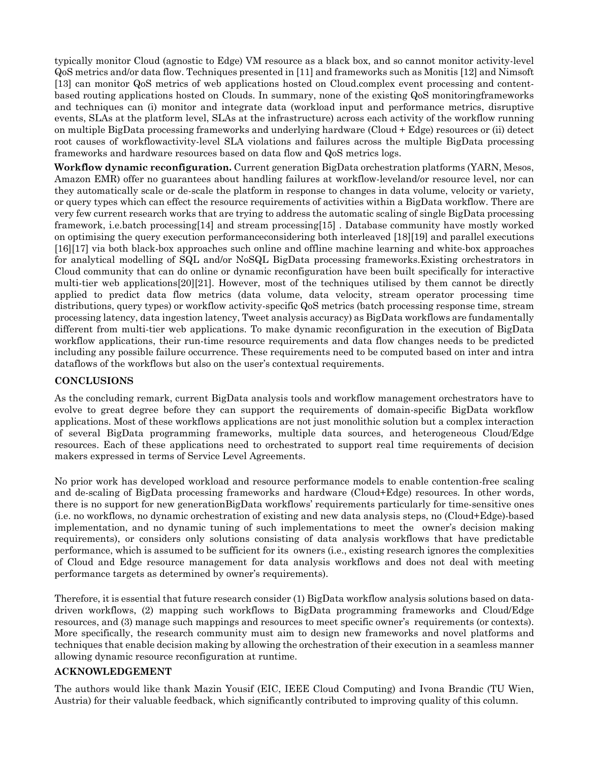typically monitor Cloud (agnostic to Edge) VM resource as a black box, and so cannot monitor activity-level QoS metrics and/or data flow. Techniques presented in [\[11\]](#page-7-9) and frameworks such as Moniti[s \[12\]](#page-7-10) and Nimsoft [\[13\]](#page-7-11) can monitor QoS metrics of web applications hosted on Cloud.complex event processing and contentbased routing applications hosted on Clouds. In summary, none of the existing QoS monitoringframeworks and techniques can (i) monitor and integrate data (workload input and performance metrics, disruptive events, SLAs at the platform level, SLAs at the infrastructure) across each activity of the workflow running on multiple BigData processing frameworks and underlying hardware (Cloud + Edge) resources or (ii) detect root causes of workflowactivity-level SLA violations and failures across the multiple BigData processing frameworks and hardware resources based on data flow and QoS metrics logs.

**Workflow dynamic reconfiguration.** Current generation BigData orchestration platforms (YARN, Mesos, Amazon EMR) offer no guarantees about handling failures at workflow-leveland/or resource level, nor can they automatically scale or de-scale the platform in response to changes in data volume, velocity or variety, or query types which can effect the resource requirements of activities within a BigData workflow. There are very few current research works that are trying to address the automatic scaling of single BigData processing framework, i.e.batch processin[g\[14\]](#page-7-12) and stream processin[g\[15\]](#page-7-13) . Database community have mostly worked on optimising the query execution performanceconsidering both interleaved [\[18\]\[19\]](#page-7-14) and parallel executions [\[16\]\[17\]](#page-7-15) via both black-box approaches such online and offline machine learning and white-box approaches for analytical modelling of SQL and/or NoSQL BigData processing frameworks.Existing orchestrators in Cloud community that can do online or dynamic reconfiguration have been built specifically for interactive multi-tier web application[s\[20\]\[21\].](#page-7-16) However, most of the techniques utilised by them cannot be directly applied to predict data flow metrics (data volume, data velocity, stream operator processing time distributions, query types) or workflow activity-specific QoS metrics (batch processing response time, stream processing latency, data ingestion latency, Tweet analysis accuracy) as BigData workflows are fundamentally different from multi-tier web applications. To make dynamic reconfiguration in the execution of BigData workflow applications, their run-time resource requirements and data flow changes needs to be predicted including any possible failure occurrence. These requirements need to be computed based on inter and intra dataflows of the workflows but also on the user's contextual requirements.

#### **CONCLUSIONS**

As the concluding remark, current BigData analysis tools and workflow management orchestrators have to evolve to great degree before they can support the requirements of domain-specific BigData workflow applications. Most of these workflows applications are not just monolithic solution but a complex interaction of several BigData programming frameworks, multiple data sources, and heterogeneous Cloud/Edge resources. Each of these applications need to orchestrated to support real time requirements of decision makers expressed in terms of Service Level Agreements.

No prior work has developed workload and resource performance models to enable contention-free scaling and de-scaling of BigData processing frameworks and hardware (Cloud+Edge) resources. In other words, there is no support for new generationBigData workflows' requirements particularly for time-sensitive ones (i.e. no workflows, no dynamic orchestration of existing and new data analysis steps, no (Cloud+Edge)-based implementation, and no dynamic tuning of such implementations to meet the owner's decision making requirements), or considers only solutions consisting of data analysis workflows that have predictable performance, which is assumed to be sufficient for its owners (i.e., existing research ignores the complexities of Cloud and Edge resource management for data analysis workflows and does not deal with meeting performance targets as determined by owner's requirements).

Therefore, it is essential that future research consider (1) BigData workflow analysis solutions based on datadriven workflows, (2) mapping such workflows to BigData programming frameworks and Cloud/Edge resources, and (3) manage such mappings and resources to meet specific owner's requirements (or contexts). More specifically, the research community must aim to design new frameworks and novel platforms and techniques that enable decision making by allowing the orchestration of their execution in a seamless manner allowing dynamic resource reconfiguration at runtime.

#### **ACKNOWLEDGEMENT**

The authors would like thank Mazin Yousif (EIC, IEEE Cloud Computing) and Ivona Brandic (TU Wien, Austria) for their valuable feedback, which significantly contributed to improving quality of this column.